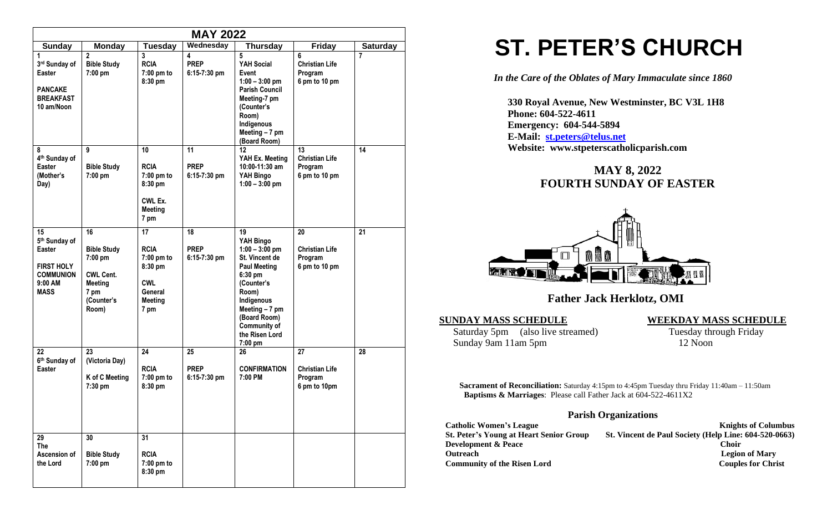| <b>MAY 2022</b>                                                                                                |                                                                                                          |                                                                                               |                                     |                                                                                                                                                                                                             |                                                         |                 |
|----------------------------------------------------------------------------------------------------------------|----------------------------------------------------------------------------------------------------------|-----------------------------------------------------------------------------------------------|-------------------------------------|-------------------------------------------------------------------------------------------------------------------------------------------------------------------------------------------------------------|---------------------------------------------------------|-----------------|
| <b>Sunday</b>                                                                                                  | <b>Monday</b>                                                                                            | <b>Tuesday</b>                                                                                | Wednesday                           | <b>Thursday</b>                                                                                                                                                                                             | <b>Friday</b>                                           | <b>Saturday</b> |
| 1<br>3rd Sunday of<br>Easter<br><b>PANCAKE</b><br><b>BREAKFAST</b><br>10 am/Noon                               | $\overline{2}$<br><b>Bible Study</b><br>7:00 pm                                                          | 3<br><b>RCIA</b><br>7:00 pm to<br>8:30 pm                                                     | 4<br><b>PREP</b><br>$6:15-7:30$ pm  | 5<br>YAH Social<br>Event<br>$1:00 - 3:00$ pm<br><b>Parish Council</b><br>Meeting-7 pm<br>(Counter's<br>Room)<br>Indigenous<br>Meeting $-7$ pm<br>(Board Room)                                               | 6<br><b>Christian Life</b><br>Program<br>6 pm to 10 pm  | $\overline{7}$  |
| 8<br>4 <sup>th</sup> Sunday of<br><b>Easter</b><br>(Mother's<br>Day)                                           | 9<br><b>Bible Study</b><br>7:00 pm                                                                       | 10<br><b>RCIA</b><br>7:00 pm to<br>8:30 pm<br>CWL Ex.<br><b>Meeting</b><br>7 pm               | 11<br><b>PREP</b><br>6:15-7:30 pm   | 12<br>YAH Ex. Meeting<br>10:00-11:30 am<br>YAH Bingo<br>$1:00 - 3:00$ pm                                                                                                                                    | 13<br><b>Christian Life</b><br>Program<br>6 pm to 10 pm | 14              |
| 15<br>5 <sup>th</sup> Sunday of<br>Easter<br><b>FIRST HOLY</b><br><b>COMMUNION</b><br>$9:00$ AM<br><b>MASS</b> | 16<br><b>Bible Study</b><br>7:00 pm<br><b>CWL Cent.</b><br><b>Meeting</b><br>7 pm<br>(Counter's<br>Room) | 17<br><b>RCIA</b><br>7:00 pm to<br>8:30 pm<br><b>CWL</b><br>General<br><b>Meeting</b><br>7 pm | 18<br><b>PREP</b><br>$6:15-7:30$ pm | 19<br>YAH Bingo<br>$1:00 - 3:00$ pm<br>St. Vincent de<br><b>Paul Meeting</b><br>6:30 pm<br>(Counter's<br>Room)<br>Indigenous<br>Meeting - 7 pm<br>(Board Room)<br>Community of<br>the Risen Lord<br>7:00 pm | 20<br><b>Christian Life</b><br>Program<br>6 pm to 10 pm | 21              |
| 22<br>6th Sunday of<br><b>Easter</b>                                                                           | 23<br>(Victoria Day)<br>K of C Meeting<br>7:30 pm                                                        | 24<br><b>RCIA</b><br>$7:00$ pm to<br>8:30 pm                                                  | 25<br><b>PREP</b><br>$6:15-7:30$ pm | 26<br><b>CONFIRMATION</b><br>7:00 PM                                                                                                                                                                        | 27<br><b>Christian Life</b><br>Program<br>6 pm to 10pm  | 28              |
| 29<br>The<br>Ascension of<br>the Lord                                                                          | 30<br><b>Bible Study</b><br>7:00 pm                                                                      | 31<br><b>RCIA</b><br>7:00 pm to<br>8:30 pm                                                    |                                     |                                                                                                                                                                                                             |                                                         |                 |

# **ST. PETER'S CHURCH**

*In the Care of the Oblates of Mary Immaculate since 1860*

 **330 Royal Avenue, New Westminster, BC V3L 1H8 Phone: 604-522-4611 Emergency: 604-544-5894 E-Mail: [st.peters@telus.net](mailto:st.peters@telus.net) Website: www.stpeterscatholicparish.com**

## **MAY 8, 2022 FOURTH SUNDAY OF EASTER**



### **Father Jack Herklotz, OMI**

#### **SUNDAY MASS SCHEDULE WEEKDAY MASS SCHEDULE**

Saturday 5pm (also live streamed) Tuesday through Friday Sunday 9am 11am 5pm 12 Noon

**Sacrament of Reconciliation:** Saturday 4:15pm to 4:45pm Tuesday thru Friday 11:40am – 11:50am  **Baptisms & Marriages**: Please call Father Jack at 604-522-4611X2

#### **Parish Organizations**

| <b>Catholic Women's League</b>                 | <b>Knights of Columbus</b>                            |
|------------------------------------------------|-------------------------------------------------------|
| <b>St. Peter's Young at Heart Senior Group</b> | St. Vincent de Paul Society (Help Line: 604-520-0663) |
| <b>Development &amp; Peace</b>                 | <b>Choir</b>                                          |
| <b>Outreach</b>                                | <b>Legion of Mary</b>                                 |
| <b>Community of the Risen Lord</b>             | <b>Couples for Christ</b>                             |